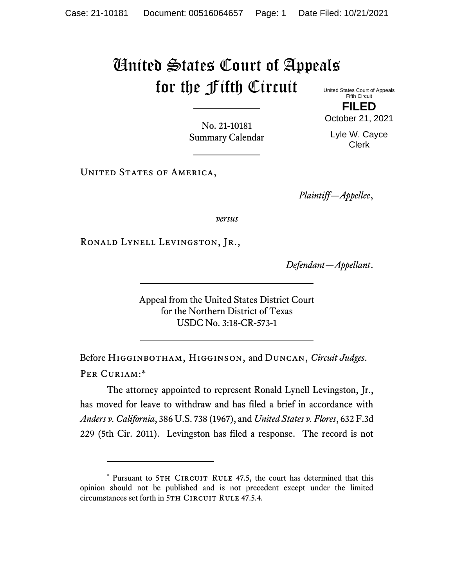## United States Court of Appeals for the Fifth Circuit United States Court of Appeals

Fifth Circuit **FILED** October 21, 2021

Lyle W. Cayce Clerk

No. 21-10181 Summary Calendar

UNITED STATES OF AMERICA,

*Plaintiff—Appellee*,

*versus*

Ronald Lynell Levingston, Jr.,

*Defendant—Appellant*.

Appeal from the United States District Court for the Northern District of Texas USDC No. 3:18-CR-573-1

Before Higginbotham, Higginson, and Duncan, *Circuit Judges*. Per Curiam:\*

<span id="page-0-0"></span>The attorney appointed to represent Ronald Lynell Levingston, Jr., has moved for leave to withdraw and has filed a brief in accordance with *Anders v. California*, 386 U.S. 738 (1967), and *United States v. Flores*, 632 F.3d 229 (5th Cir. 2011). Levingston has filed a response. The record is not

<sup>\*</sup> Pursuant to 5TH CIRCUIT RULE 47.5, the court has determined that this opinion should not be published and is not precedent except under the limited circumstances set forth in 5TH CIRCUIT RULE 47.5.4.